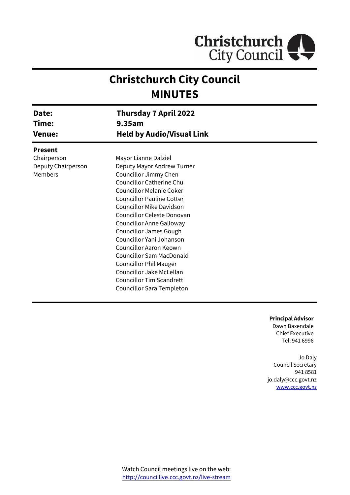

# **Christchurch City Council MINUTES**

| Date:<br>Time:<br><b>Venue:</b> | Thursday 7 April 2022<br>9.35am<br><b>Held by Audio/Visual Link</b> |  |
|---------------------------------|---------------------------------------------------------------------|--|
| <b>Present</b>                  |                                                                     |  |
| Chairperson                     | Mayor Lianne Dalziel                                                |  |
| Deputy Chairperson              | Deputy Mayor Andrew Turner                                          |  |
| Members                         | Councillor Jimmy Chen                                               |  |
|                                 | <b>Councillor Catherine Chu</b>                                     |  |
|                                 | <b>Councillor Melanie Coker</b>                                     |  |
|                                 | <b>Councillor Pauline Cotter</b>                                    |  |
|                                 | <b>Councillor Mike Davidson</b>                                     |  |
|                                 | Councillor Celeste Donovan                                          |  |
|                                 | <b>Councillor Anne Galloway</b>                                     |  |
|                                 | <b>Councillor James Gough</b>                                       |  |
|                                 | Councillor Yani Johanson                                            |  |
|                                 | Councillor Aaron Keown                                              |  |
|                                 | <b>Councillor Sam MacDonald</b>                                     |  |
|                                 | <b>Councillor Phil Mauger</b>                                       |  |
|                                 | Councillor Jake McLellan                                            |  |
|                                 | <b>Councillor Tim Scandrett</b>                                     |  |
|                                 | Councillor Sara Templeton                                           |  |

**Principal Advisor**

Dawn Baxendale Chief Executive Tel: 941 6996

Jo Daly Council Secretary 941 8581 jo.daly@ccc.govt.nz [www.ccc.govt.nz](http://www.ccc.govt.nz/)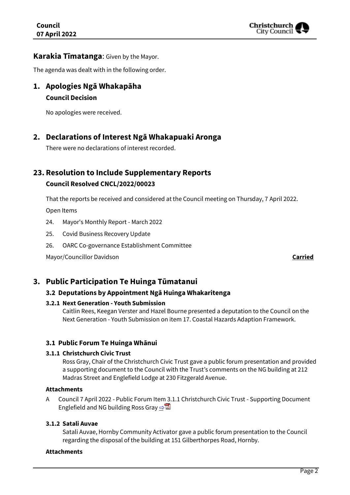

#### **Karakia Tīmatanga**: Given by the Mayor.

The agenda was dealt with in the following order.

**1. Apologies Ngā Whakapāha Council Decision**

No apologies were received.

## **2. Declarations of Interest Ngā Whakapuaki Aronga**

There were no declarations of interest recorded.

## **23. Resolution to Include Supplementary Reports Council Resolved CNCL/2022/00023**

That the reports be received and considered at the Council meeting on Thursday, 7 April 2022.

Open Items

- 24. Mayor's Monthly Report March 2022
- 25. Covid Business Recovery Update
- 26. OARC Co-governance Establishment Committee

Mayor/Councillor Davidson **Carried**

## **3. Public Participation Te Huinga Tūmatanui**

#### **3.2 Deputations by Appointment Ngā Huinga Whakaritenga**

#### **3.2.1 Next Generation - Youth Submission**

Caitlin Rees, Keegan Verster and Hazel Bourne presented a deputation to the Council on the Next Generation - Youth Submission on item 17. Coastal Hazards Adaption Framework.

#### **3.1 Public Forum Te Huinga Whānui**

#### **3.1.1 Christchurch Civic Trust**

Ross Gray, Chair of the Christchurch Civic Trust gave a public forum presentation and provided a supporting document to the Council with the Trust's comments on the NG building at 212 Madras Street and Englefield Lodge at 230 Fitzgerald Avenue.

#### **Attachments**

A Council 7 April 2022 - Public Forum Item 3.1.1 Christchurch Civic Trust - Supporting Document Englefield and NG building Ross Gray  $\Rightarrow$ 

#### **3.1.2 Satali Auvae**

Satali Auvae, Hornby Community Activator gave a public forum presentation to the Council regarding the disposal of the building at 151 Gilberthorpes Road, Hornby.

#### **Attachments**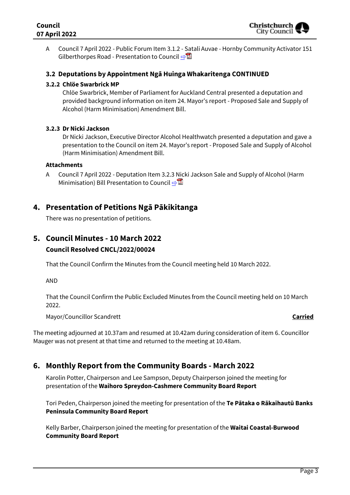

A Council 7 April 2022 - Public Forum Item 3.1.2 - Satali Auvae - Hornby Community Activator 151 Gilberthorpes Road - Presentation to Council ⇒

#### **3.2 Deputations by Appointment Ngā Huinga Whakaritenga CONTINUED**

#### **3.2.2 Chlöe Swarbrick MP**

Chlöe Swarbrick, Member of Parliament for Auckland Central presented a deputation and provided background information on item 24. Mayor's report - Proposed Sale and Supply of Alcohol (Harm Minimisation) Amendment Bill.

#### **3.2.3 Dr Nicki Jackson**

Dr Nicki Jackson, Executive Director Alcohol Healthwatch presented a deputation and gave a presentation to the Council on item 24. Mayor's report - Proposed Sale and Supply of Alcohol (Harm Minimisation) Amendment Bill.

#### **Attachments**

A Council 7 April 2022 - Deputation Item 3.2.3 Nicki Jackson Sale and Supply of Alcohol (Harm Minimisation) Bill Presentation to Council [⇨](../../../RedirectToInvalidFileName.aspx?FileName=CNCL_20220407_MAT_7422.PDF#PAGE=9)

## **4. Presentation of Petitions Ngā Pākikitanga**

There was no presentation of petitions.

## **5. Council Minutes - 10 March 2022 Council Resolved CNCL/2022/00024**

That the Council Confirm the Minutes from the Council meeting held 10 March 2022.

AND

That the Council Confirm the Public Excluded Minutes from the Council meeting held on 10 March 2022.

Mayor/Councillor Scandrett **Carried**

The meeting adjourned at 10.37am and resumed at 10.42am during consideration of item 6. Councillor Mauger was not present at that time and returned to the meeting at 10.48am.

## **6. Monthly Report from the Community Boards - March 2022**

Karolin Potter, Chairperson and Lee Sampson, Deputy Chairperson joined the meeting for presentation of the **Waihoro Spreydon-Cashmere Community Board Report**

Tori Peden, Chairperson joined the meeting for presentation of the **Te Pātaka o Rākaihautū Banks Peninsula Community Board Report**

Kelly Barber, Chairperson joined the meeting for presentation of the **Waitai Coastal-Burwood Community Board Report**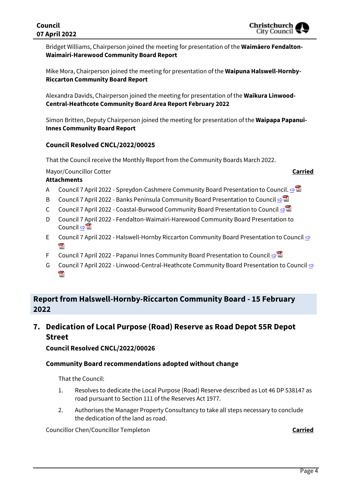Bridget Williams, Chairperson joined the meeting for presentation of the **Waimāero Fendalton-Waimairi-Harewood Community Board Report**

Mike Mora, Chairperson joined the meeting for presentation of the **Waipuna Halswell-Hornby-Riccarton Community Board Report**

Alexandra Davids, Chairperson joined the meeting for presentation of the **Waikura Linwood-Central-Heathcote Community Board Area Report February 2022**

Simon Britten, Deputy Chairperson joined the meeting for presentation of the **Waipapa Papanui-Innes Community Board Report**

#### **Council Resolved CNCL/2022/00025**

That the Council receive the Monthly Report from the Community Boards March 2022.

Mayor/Councillor Cotter **Carried**

#### **Attachments**

- A Council 7 April 2022 Spreydon-Cashmere Community Board Presentation to Council. [⇨](../../../RedirectToInvalidFileName.aspx?FileName=CNCL_20220407_MAT_7422.PDF#PAGE=25)
- B Council 7 April 2022 Banks Peninsula Community Board Presentation to Council ⇒
- C Council 7 April 2022 Coastal-Burwood Community Board Presentation to Council ⇒
- D Council 7 April 2022 Fendalton-Waimairi-Harewood Community Board Presentation to Council ⇔ a
- E Council 7 April 2022 Halswell-Hornby Riccarton Community Board Presentation to Council ⇔ 头
- F Council 7 April 2022 Papanui Innes Community Board Presentation to Council [⇨](../../../RedirectToInvalidFileName.aspx?FileName=CNCL_20220407_MAT_7422.PDF#PAGE=59)
- G Council 7 April 2022 Linwood-Central-Heathcote Community Board Presentation to Council **[⇨](../../../RedirectToInvalidFileName.aspx?FileName=CNCL_20220407_MAT_7422.PDF#PAGE=68)** 202

## **Report from Halswell-Hornby-Riccarton Community Board - 15 February 2022**

**7. Dedication of Local Purpose (Road) Reserve as Road Depot 55R Depot Street**

**Council Resolved CNCL/2022/00026**

#### **Community Board recommendations adopted without change**

That the Council:

- 1. Resolves to dedicate the Local Purpose (Road) Reserve described as Lot 46 DP 538147 as road pursuant to Section 111 of the Reserves Act 1977.
- 2. Authorises the Manager Property Consultancy to take all steps necessary to conclude the dedication of the land as road.

Councillor Chen/Councillor Templeton **Carried**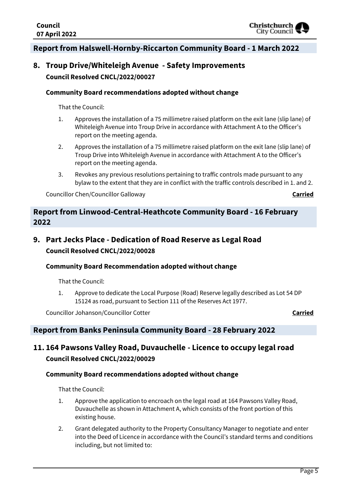

## **Report from Halswell-Hornby-Riccarton Community Board - 1 March 2022**

## **8. Troup Drive/Whiteleigh Avenue - Safety Improvements Council Resolved CNCL/2022/00027**

#### **Community Board recommendations adopted without change**

That the Council:

- 1. Approves the installation of a 75 millimetre raised platform on the exit lane (slip lane) of Whiteleigh Avenue into Troup Drive in accordance with Attachment A to the Officer's report on the meeting agenda.
- 2. Approves the installation of a 75 millimetre raised platform on the exit lane (slip lane) of Troup Drive into Whiteleigh Avenue in accordance with Attachment A to the Officer's report on the meeting agenda.
- 3. Revokes any previous resolutions pertaining to traffic controls made pursuant to any bylaw to the extent that they are in conflict with the traffic controls described in 1. and 2.

Councillor Chen/Councillor Galloway **Carried**

## **Report from Linwood-Central-Heathcote Community Board - 16 February 2022**

## **9. Part Jecks Place - Dedication of Road Reserve as Legal Road Council Resolved CNCL/2022/00028**

#### **Community Board Recommendation adopted without change**

That the Council:

1. Approve to dedicate the Local Purpose (Road) Reserve legally described as Lot 54 DP 15124 as road, pursuant to Section 111 of the Reserves Act 1977.

Councillor Johanson/Councillor Cotter **Carried**

### **Report from Banks Peninsula Community Board - 28 February 2022**

## **11. 164 Pawsons Valley Road, Duvauchelle - Licence to occupy legal road Council Resolved CNCL/2022/00029**

#### **Community Board recommendations adopted without change**

- 1. Approve the application to encroach on the legal road at 164 Pawsons Valley Road, Duvauchelle as shown in Attachment A, which consists of the front portion of this existing house.
- 2. Grant delegated authority to the Property Consultancy Manager to negotiate and enter into the Deed of Licence in accordance with the Council's standard terms and conditions including, but not limited to: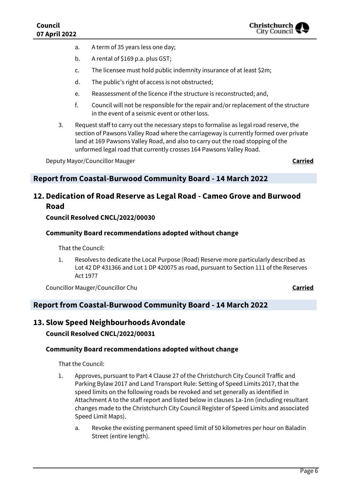- a. A term of 35 years less one day;
- b. A rental of \$169 p.a. plus GST;
- c. The licensee must hold public indemnity insurance of at least \$2m;
- d. The public's right of access is not obstructed;
- e. Reassessment of the licence if the structure is reconstructed; and,
- f. Council will not be responsible for the repair and/or replacement of the structure in the event of a seismic event or other loss.
- 3. Request staff to carry out the necessary steps to formalise as legal road reserve, the section of Pawsons Valley Road where the carriageway is currently formed over private land at 169 Pawsons Valley Road, and also to carry out the road stopping of the unformed legal road that currently crosses 164 Pawsons Valley Road.

Deputy Mayor/Councillor Mauger **Carried**

### **Report from Coastal-Burwood Community Board - 14 March 2022**

## **12. Dedication of Road Reserve as Legal Road - Cameo Grove and Burwood Road**

#### **Council Resolved CNCL/2022/00030**

#### **Community Board recommendations adopted without change**

That the Council:

1. Resolves to dedicate the Local Purpose (Road) Reserve more particularly described as Lot 42 DP 431366 and Lot 1 DP 420075 as road, pursuant to Section 111 of the Reserves Act 1977

Councillor Mauger/Councillor Chu **Carried**

#### **Report from Coastal-Burwood Community Board - 14 March 2022**

## **13. Slow Speed Neighbourhoods Avondale Council Resolved CNCL/2022/00031**

#### **Community Board recommendations adopted without change**

- 1. Approves, pursuant to Part 4 Clause 27 of the Christchurch City Council Traffic and Parking Bylaw 2017 and Land Transport Rule: Setting of Speed Limits 2017, that the speed limits on the following roads be revoked and set generally as identified in Attachment A to the staff report and listed below in clauses 1a-1nn (including resultant changes made to the Christchurch City Council Register of Speed Limits and associated Speed Limit Maps).
	- a. Revoke the existing permanent speed limit of 50 kilometres per hour on Baladin Street (entire length).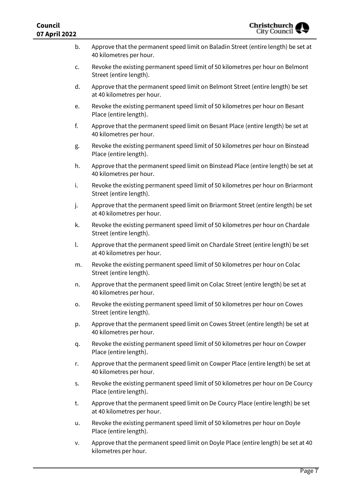| Council<br>07 April 2022 | <b>Christchurch</b><br>City Council                                                                             |
|--------------------------|-----------------------------------------------------------------------------------------------------------------|
| b.                       | Approve that the permanent speed limit on Baladin Street (entire length) be set at<br>40 kilometres per hour.   |
| c.                       | Revoke the existing permanent speed limit of 50 kilometres per hour on Belmont<br>Street (entire length).       |
| d.                       | Approve that the permanent speed limit on Belmont Street (entire length) be set<br>at 40 kilometres per hour.   |
| e.                       | Revoke the existing permanent speed limit of 50 kilometres per hour on Besant<br>Place (entire length).         |
| f.                       | Approve that the permanent speed limit on Besant Place (entire length) be set at<br>40 kilometres per hour.     |
| g.                       | Revoke the existing permanent speed limit of 50 kilometres per hour on Binstead<br>Place (entire length).       |
| h.                       | Approve that the permanent speed limit on Binstead Place (entire length) be set at<br>40 kilometres per hour.   |
| i.                       | Revoke the existing permanent speed limit of 50 kilometres per hour on Briarmont<br>Street (entire length).     |
| j.                       | Approve that the permanent speed limit on Briarmont Street (entire length) be set<br>at 40 kilometres per hour. |
| k.                       | Revoke the existing permanent speed limit of 50 kilometres per hour on Chardale<br>Street (entire length).      |
| l.                       | Approve that the permanent speed limit on Chardale Street (entire length) be set<br>at 40 kilometres per hour.  |
| m.                       | Revoke the existing permanent speed limit of 50 kilometres per hour on Colac<br>Street (entire length).         |
| n.                       | Approve that the permanent speed limit on Colac Street (entire length) be set at<br>40 kilometres per hour.     |
| ο.                       | Revoke the existing permanent speed limit of 50 kilometres per hour on Cowes<br>Street (entire length).         |
| p.                       | Approve that the permanent speed limit on Cowes Street (entire length) be set at<br>40 kilometres per hour.     |
| q.                       | Revoke the existing permanent speed limit of 50 kilometres per hour on Cowper<br>Place (entire length).         |
| r.                       | Approve that the permanent speed limit on Cowper Place (entire length) be set at<br>40 kilometres per hour.     |
| S.                       | Revoke the existing permanent speed limit of 50 kilometres per hour on De Courcy<br>Place (entire length).      |
| t.                       | Approve that the permanent speed limit on De Courcy Place (entire length) be set<br>at 40 kilometres per hour.  |
| u.                       | Revoke the existing permanent speed limit of 50 kilometres per hour on Doyle<br>Place (entire length).          |
| v.                       | Approve that the permanent speed limit on Doyle Place (entire length) be set at 40<br>kilometres per hour.      |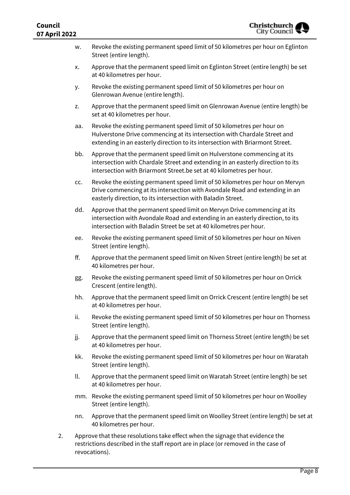| LL  |                                                                                                                                                                                                                                      |
|-----|--------------------------------------------------------------------------------------------------------------------------------------------------------------------------------------------------------------------------------------|
| w.  | Revoke the existing permanent speed limit of 50 kilometres per hour on Eglinton<br>Street (entire length).                                                                                                                           |
| x.  | Approve that the permanent speed limit on Eglinton Street (entire length) be set<br>at 40 kilometres per hour.                                                                                                                       |
| у.  | Revoke the existing permanent speed limit of 50 kilometres per hour on<br>Glenrowan Avenue (entire length).                                                                                                                          |
| z.  | Approve that the permanent speed limit on Glenrowan Avenue (entire length) be<br>set at 40 kilometres per hour.                                                                                                                      |
| aa. | Revoke the existing permanent speed limit of 50 kilometres per hour on<br>Hulverstone Drive commencing at its intersection with Chardale Street and<br>extending in an easterly direction to its intersection with Briarmont Street. |
| bb. | Approve that the permanent speed limit on Hulverstone commencing at its<br>intersection with Chardale Street and extending in an easterly direction to its<br>intersection with Briarmont Street.be set at 40 kilometres per hour.   |
| CC. | Revoke the existing permanent speed limit of 50 kilometres per hour on Mervyn<br>Drive commencing at its intersection with Avondale Road and extending in an<br>easterly direction, to its intersection with Baladin Street.         |
| dd. | Approve that the permanent speed limit on Mervyn Drive commencing at its<br>intersection with Avondale Road and extending in an easterly direction, to its<br>intersection with Baladin Street be set at 40 kilometres per hour.     |
| ee. | Revoke the existing permanent speed limit of 50 kilometres per hour on Niven<br>Street (entire length).                                                                                                                              |
| ff. | Approve that the permanent speed limit on Niven Street (entire length) be set at<br>40 kilometres per hour.                                                                                                                          |
| gg. | Revoke the existing permanent speed limit of 50 kilometres per hour on Orrick<br>Crescent (entire length).                                                                                                                           |
| hh. | Approve that the permanent speed limit on Orrick Crescent (entire length) be set<br>at 40 kilometres per hour.                                                                                                                       |
| ii. | Revoke the existing permanent speed limit of 50 kilometres per hour on Thorness<br>Street (entire length).                                                                                                                           |
| jj. | Approve that the permanent speed limit on Thorness Street (entire length) be set<br>at 40 kilometres per hour.                                                                                                                       |
| kk. | Revoke the existing permanent speed limit of 50 kilometres per hour on Waratah<br>Street (entire length).                                                                                                                            |
| ll. | Approve that the permanent speed limit on Waratah Street (entire length) be set<br>at 40 kilometres per hour.                                                                                                                        |
| mm. | Revoke the existing permanent speed limit of 50 kilometres per hour on Woolley<br>Street (entire length).                                                                                                                            |
| nn. | Approve that the permanent speed limit on Woolley Street (entire length) be set at<br>40 kilometres per hour.                                                                                                                        |
|     |                                                                                                                                                                                                                                      |

2. Approve that these resolutions take effect when the signage that evidence the restrictions described in the staff report are in place (or removed in the case of revocations).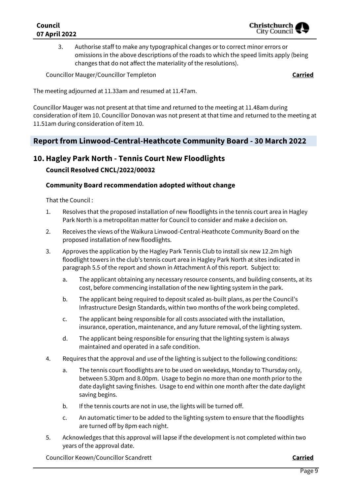### **Council 07 April 2022**

3. Authorise staff to make any typographical changes or to correct minor errors or omissions in the above descriptions of the roads to which the speed limits apply (being changes that do not affect the materiality of the resolutions).

Councillor Mauger/Councillor Templeton **Carried**

The meeting adjourned at 11.33am and resumed at 11.47am.

Councillor Mauger was not present at that time and returned to the meeting at 11.48am during consideration of item 10. Councillor Donovan was not present at that time and returned to the meeting at 11.51am during consideration of item 10.

## **Report from Linwood-Central-Heathcote Community Board - 30 March 2022**

### **10.Hagley Park North - Tennis Court New Floodlights**

#### **Council Resolved CNCL/2022/00032**

#### **Community Board recommendation adopted without change**

That the Council :

- 1. Resolves that the proposed installation of new floodlights in the tennis court area in Hagley Park North is a metropolitan matter for Council to consider and make a decision on.
- 2. Receives the views of the Waikura Linwood-Central-Heathcote Community Board on the proposed installation of new floodlights.
- 3. Approves the application by the Hagley Park Tennis Club to install six new 12.2m high floodlight towers in the club's tennis court area in Hagley Park North at sites indicated in paragraph 5.5 of the report and shown in Attachment A of this report. Subject to:
	- a. The applicant obtaining any necessary resource consents, and building consents, at its cost, before commencing installation of the new lighting system in the park.
	- b. The applicant being required to deposit scaled as-built plans, as per the Council's Infrastructure Design Standards, within two months of the work being completed.
	- c. The applicant being responsible for all costs associated with the installation, insurance, operation, maintenance, and any future removal, of the lighting system.
	- d. The applicant being responsible for ensuring that the lighting system is always maintained and operated in a safe condition.
- 4. Requires that the approval and use of the lighting is subject to the following conditions:
	- a. The tennis court floodlights are to be used on weekdays, Monday to Thursday only, between 5.30pm and 8.00pm. Usage to begin no more than one month prior to the date daylight saving finishes. Usage to end within one month after the date daylight saving begins.
	- b. If the tennis courts are not in use, the lights will be turned off.
	- c. An automatic timer to be added to the lighting system to ensure that the floodlights are turned off by 8pm each night.
- 5. Acknowledges that this approval will lapse if the development is not completed within two years of the approval date.

Councillor Keown/Councillor Scandrett **Carried**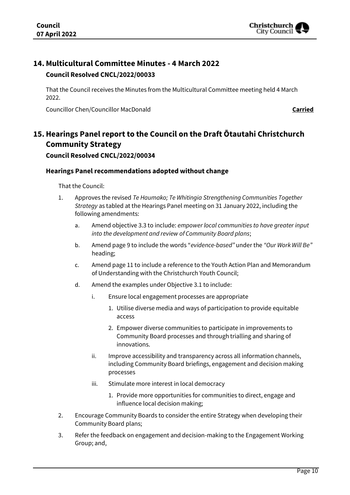## **14. Multicultural Committee Minutes - 4 March 2022**

### **Council Resolved CNCL/2022/00033**

That the Council receives the Minutes from the Multicultural Committee meeting held 4 March 2022.

Councillor Chen/Councillor MacDonald **Carried**

## **15.Hearings Panel report to the Council on the Draft Ōtautahi Christchurch Community Strategy**

#### **Council Resolved CNCL/2022/00034**

#### **Hearings Panel recommendations adopted without change**

- 1. Approves the revised *Te Haumako; Te Whitingia Strengthening Communities Together Strategy* as tabled at the Hearings Panel meeting on 31 January 2022, including the following amendments:
	- a. Amend objective 3.3 to include: *empower local communities to have greater input into the development and review of Community Board plans*;
	- b. Amend page 9 to include the words "*evidence-based"* under the *"Our Work Will Be"* heading;
	- c. Amend page 11 to include a reference to the Youth Action Plan and Memorandum of Understanding with the Christchurch Youth Council;
	- d. Amend the examples under Objective 3.1 to include:
		- i. Ensure local engagement processes are appropriate
			- 1. Utilise diverse media and ways of participation to provide equitable access
			- 2. Empower diverse communities to participate in improvements to Community Board processes and through trialling and sharing of innovations.
		- ii. Improve accessibility and transparency across all information channels, including Community Board briefings, engagement and decision making processes
		- iii. Stimulate more interest in local democracy
			- 1. Provide more opportunities for communities to direct, engage and influence local decision making;
- 2. Encourage Community Boards to consider the entire Strategy when developing their Community Board plans;
- 3. Refer the feedback on engagement and decision-making to the Engagement Working Group; and,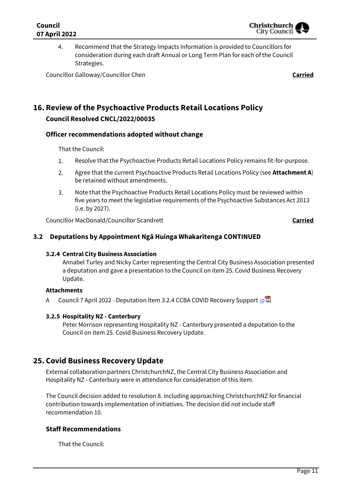4. Recommend that the Strategy Impacts Information is provided to Councillors for consideration during each draft Annual or Long Term Plan for each of the Council Strategies.

Councillor Galloway/Councillor Chen **Carried**

## **16. Review of the Psychoactive Products Retail Locations Policy Council Resolved CNCL/2022/00035**

#### **Officer recommendations adopted without change**

That the Council:

- $1.$ Resolve that the Psychoactive Products Retail Locations Policy remains fit-for-purpose.
- $2.$ Agree that the current Psychoactive Products Retail Locations Policy (see **Attachment A**) be retained without amendments.
- $\overline{3}$ . Note that the Psychoactive Products Retail Locations Policy must be reviewed within five years to meet the legislative requirements of the Psychoactive Substances Act 2013 (i.e. by 2027).

Councillor MacDonald/Councillor Scandrett **Carried**

#### **3.2 Deputations by Appointment Ngā Huinga Whakaritenga CONTINUED**

#### **3.2.4 Central City Business Association**

Annabel Turley and Nicky Carter representing the Central City Business Association presented a deputation and gave a presentation to the Council on item 25. Covid Business Recovery Update.

#### **Attachments**

A Council 7 April 2022 - Deputation Item 3.2.4 CCBA COVID Recovery Support [⇨](../../../RedirectToInvalidFileName.aspx?FileName=CNCL_20220407_MAT_7422.PDF#PAGE=74)

#### **3.2.5 Hospitality NZ - Canterbury**

Peter Morrison representing Hospitality NZ - Canterbury presented a deputation to the Council on item 25. Covid Business Recovery Update.

### **25. Covid Business Recovery Update**

External collaboration partners ChristchurchNZ, the Central City Business Association and Hospitality NZ - Canterbury were in attendance for consideration of this item.

The Council decision added to resolution 8. including approaching ChristchurchNZ for financial contribution towards implementation of initiatives. The decision did not include staff recommendation 10.

#### **Staff Recommendations**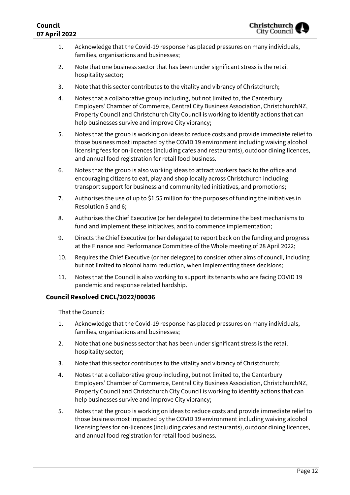#### **Council 07 April 2022**

- 1. Acknowledge that the Covid-19 response has placed pressures on many individuals, families, organisations and businesses;
- 2. Note that one business sector that has been under significant stress is the retail hospitality sector;
- 3. Note that this sector contributes to the vitality and vibrancy of Christchurch;
- 4. Notes that a collaborative group including, but not limited to, the Canterbury Employers' Chamber of Commerce, Central City Business Association, ChristchurchNZ, Property Council and Christchurch City Council is working to identify actions that can help businesses survive and improve City vibrancy;
- 5. Notes that the group is working on ideas to reduce costs and provide immediate relief to those business most impacted by the COVID 19 environment including waiving alcohol licensing fees for on-licences (including cafes and restaurants), outdoor dining licences, and annual food registration for retail food business.
- 6. Notes that the group is also working ideas to attract workers back to the office and encouraging citizens to eat, play and shop locally across Christchurch including transport support for business and community led initiatives, and promotions;
- 7. Authorises the use of up to \$1.55 million for the purposes of funding the initiatives in Resolution 5 and 6;
- 8. Authorises the Chief Executive (or her delegate) to determine the best mechanisms to fund and implement these initiatives, and to commence implementation;
- 9. Directs the Chief Executive (or her delegate) to report back on the funding and progress at the Finance and Performance Committee of the Whole meeting of 28 April 2022;
- 10. Requires the Chief Executive (or her delegate) to consider other aims of council, including but not limited to alcohol harm reduction, when implementing these decisions;
- 11. Notes that the Council is also working to support its tenants who are facing COVID 19 pandemic and response related hardship.

#### **Council Resolved CNCL/2022/00036**

- 1. Acknowledge that the Covid-19 response has placed pressures on many individuals, families, organisations and businesses;
- 2. Note that one business sector that has been under significant stress is the retail hospitality sector;
- 3. Note that this sector contributes to the vitality and vibrancy of Christchurch;
- 4. Notes that a collaborative group including, but not limited to, the Canterbury Employers' Chamber of Commerce, Central City Business Association, ChristchurchNZ, Property Council and Christchurch City Council is working to identify actions that can help businesses survive and improve City vibrancy;
- 5. Notes that the group is working on ideas to reduce costs and provide immediate relief to those business most impacted by the COVID 19 environment including waiving alcohol licensing fees for on-licences (including cafes and restaurants), outdoor dining licences, and annual food registration for retail food business.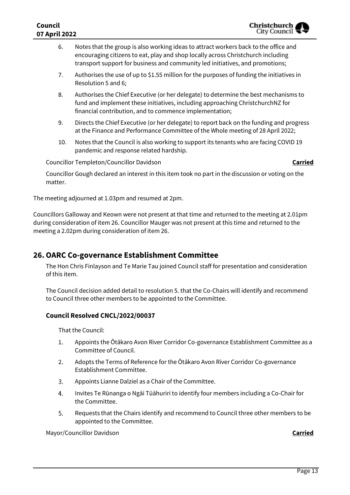- 6. Notes that the group is also working ideas to attract workers back to the office and encouraging citizens to eat, play and shop locally across Christchurch including transport support for business and community led initiatives, and promotions;
- 7. Authorises the use of up to \$1.55 million for the purposes of funding the initiatives in Resolution 5 and 6;
- 8. Authorises the Chief Executive (or her delegate) to determine the best mechanisms to fund and implement these initiatives, including approaching ChristchurchNZ for financial contribution, and to commence implementation;
- 9. Directs the Chief Executive (or her delegate) to report back on the funding and progress at the Finance and Performance Committee of the Whole meeting of 28 April 2022;
- 10. Notes that the Council is also working to support its tenants who are facing COVID 19 pandemic and response related hardship.

Councillor Templeton/Councillor Davidson **Carried**

Councillor Gough declared an interest in this item took no part in the discussion or voting on the matter.

The meeting adjourned at 1.03pm and resumed at 2pm.

Councillors Galloway and Keown were not present at that time and returned to the meeting at 2.01pm during consideration of item 26. Councillor Mauger was not present at this time and returned to the meeting a 2.02pm during consideration of item 26.

## **26.OARC Co-governance Establishment Committee**

The Hon Chris Finlayson and Te Marie Tau joined Council staff for presentation and consideration of this item.

The Council decision added detail to resolution 5. that the Co-Chairs will identify and recommend to Council three other members to be appointed to the Committee.

#### **Council Resolved CNCL/2022/00037**

That the Council:

- $1.$ Appoints the Ōtākaro Avon River Corridor Co-governance Establishment Committee as a Committee of Council.
- 2. Adopts the Terms of Reference for the Ōtākaro Avon River Corridor Co-governance Establishment Committee.
- 3. Appoints Lianne Dalziel as a Chair of the Committee.
- 4. Invites Te Rūnanga o Ngāi Tūāhuriri to identify four members including a Co-Chair for the Committee.
- 5. Requests that the Chairs identify and recommend to Council three other members to be appointed to the Committee.

Mayor/Councillor Davidson **Carried**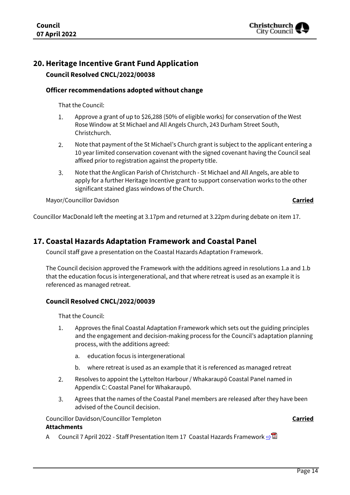

## **20.Heritage Incentive Grant Fund Application**

**Council Resolved CNCL/2022/00038**

#### **Officer recommendations adopted without change**

That the Council:

- 1. Approve a grant of up to \$26,288 (50% of eligible works) for conservation of the West Rose Window at St Michael and All Angels Church, 243 Durham Street South, Christchurch.
- $2.$ Note that payment of the St Michael's Church grant is subject to the applicant entering a 10 year limited conservation covenant with the signed covenant having the Council seal affixed prior to registration against the property title.
- $\overline{3}$ . Note that the Anglican Parish of Christchurch - St Michael and All Angels, are able to apply for a further Heritage Incentive grant to support conservation works to the other significant stained glass windows of the Church.

Mayor/Councillor Davidson **Carried**

Councillor MacDonald left the meeting at 3.17pm and returned at 3.22pm during debate on item 17.

### **17. Coastal Hazards Adaptation Framework and Coastal Panel**

Council staff gave a presentation on the Coastal Hazards Adaptation Framework.

The Council decision approved the Framework with the additions agreed in resolutions 1.a and 1.b that the education focus is intergenerational, and that where retreat is used as an example it is referenced as managed retreat.

#### **Council Resolved CNCL/2022/00039**

That the Council:

- 1. Approves the final Coastal Adaptation Framework which sets out the guiding principles and the engagement and decision-making process for the Council's adaptation planning process, with the additions agreed:
	- a. education focus is intergenerational
	- b. where retreat is used as an example that it is referenced as managed retreat
- $2.$ Resolves to appoint the Lyttelton Harbour / Whakaraupō Coastal Panel named in Appendix C: Coastal Panel for Whakaraupō.
- $\overline{3}$ . Agrees that the names of the Coastal Panel members are released after they have been advised of the Council decision.

Councillor Davidson/Councillor Templeton **Carried Attachments**

A Council 7 April 2022 - Staff Presentation Item 17 Coastal Hazards Framework **[⇨](../../../RedirectToInvalidFileName.aspx?FileName=CNCL_20220407_MAT_7422.PDF#PAGE=83)</u>**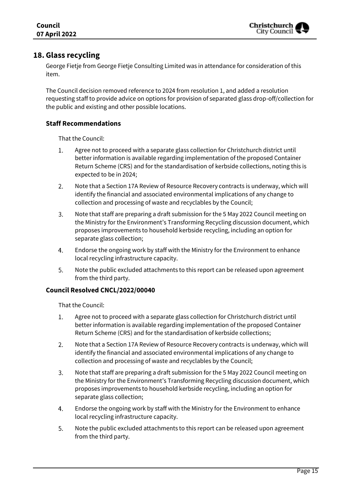

## **18. Glass recycling**

George Fietje from George Fietje Consulting Limited was in attendance for consideration of this item.

The Council decision removed reference to 2024 from resolution 1, and added a resolution requesting staff to provide advice on options for provision of separated glass drop-off/collection for the public and existing and other possible locations.

### **Staff Recommendations**

That the Council:

- 1. Agree not to proceed with a separate glass collection for Christchurch district until better information is available regarding implementation of the proposed Container Return Scheme (CRS) and for the standardisation of kerbside collections, noting this is expected to be in 2024;
- $2.$ Note that a Section 17A Review of Resource Recovery contracts is underway, which will identify the financial and associated environmental implications of any change to collection and processing of waste and recyclables by the Council;
- 3. Note that staff are preparing a draft submission for the 5 May 2022 Council meeting on the Ministry for the Environment's Transforming Recycling discussion document, which proposes improvements to household kerbside recycling, including an option for separate glass collection;
- 4. Endorse the ongoing work by staff with the Ministry for the Environment to enhance local recycling infrastructure capacity.
- Note the public excluded attachments to this report can be released upon agreement 5. from the third party.

#### **Council Resolved CNCL/2022/00040**

- $1.$ Agree not to proceed with a separate glass collection for Christchurch district until better information is available regarding implementation of the proposed Container Return Scheme (CRS) and for the standardisation of kerbside collections;
- $2.$ Note that a Section 17A Review of Resource Recovery contracts is underway, which will identify the financial and associated environmental implications of any change to collection and processing of waste and recyclables by the Council;
- $\overline{3}$ . Note that staff are preparing a draft submission for the 5 May 2022 Council meeting on the Ministry for the Environment's Transforming Recycling discussion document, which proposes improvements to household kerbside recycling, including an option for separate glass collection;
- 4. Endorse the ongoing work by staff with the Ministry for the Environment to enhance local recycling infrastructure capacity.
- 5. Note the public excluded attachments to this report can be released upon agreement from the third party.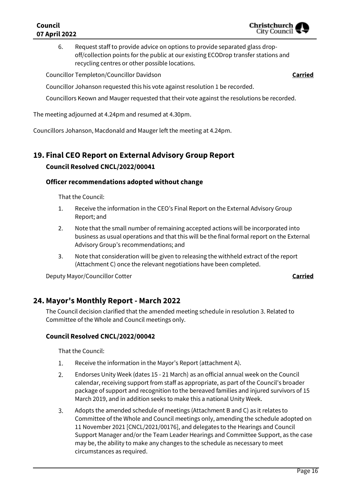### **Council 07 April 2022**

6. Request staff to provide advice on options to provide separated glass dropoff/collection points for the public at our existing ECODrop transfer stations and recycling centres or other possible locations.

Councillor Templeton/Councillor Davidson **Carried**

Councillor Johanson requested this his vote against resolution 1 be recorded.

Councillors Keown and Mauger requested that their vote against the resolutions be recorded.

The meeting adjourned at 4.24pm and resumed at 4.30pm.

Councillors Johanson, Macdonald and Mauger left the meeting at 4.24pm.

## **19. Final CEO Report on External Advisory Group Report Council Resolved CNCL/2022/00041**

#### **Officer recommendations adopted without change**

That the Council:

- 1. Receive the information in the CEO's Final Report on the External Advisory Group Report; and
- 2. Note that the small number of remaining accepted actions will be incorporated into business as usual operations and that this will be the final formal report on the External Advisory Group's recommendations; and
- 3. Note that consideration will be given to releasing the withheld extract of the report (Attachment C) once the relevant negotiations have been completed.

Deputy Mayor/Councillor Cotter **Carried**

### **24. Mayor's Monthly Report - March 2022**

The Council decision clarified that the amended meeting schedule in resolution 3. Related to Committee of the Whole and Council meetings only.

#### **Council Resolved CNCL/2022/00042**

- $1.$ Receive the information in the Mayor's Report (attachment A).
- $2.$ Endorses Unity Week (dates 15 - 21 March) as an official annual week on the Council calendar, receiving support from staff as appropriate, as part of the Council's broader package of support and recognition to the bereaved families and injured survivors of 15 March 2019, and in addition seeks to make this a national Unity Week.
- $\overline{3}$ . Adopts the amended schedule of meetings (Attachment B and C) as it relates to Committee of the Whole and Council meetings only, amending the schedule adopted on 11 November 2021 [CNCL/2021/00176], and delegates to the Hearings and Council Support Manager and/or the Team Leader Hearings and Committee Support, as the case may be, the ability to make any changes to the schedule as necessary to meet circumstances as required.